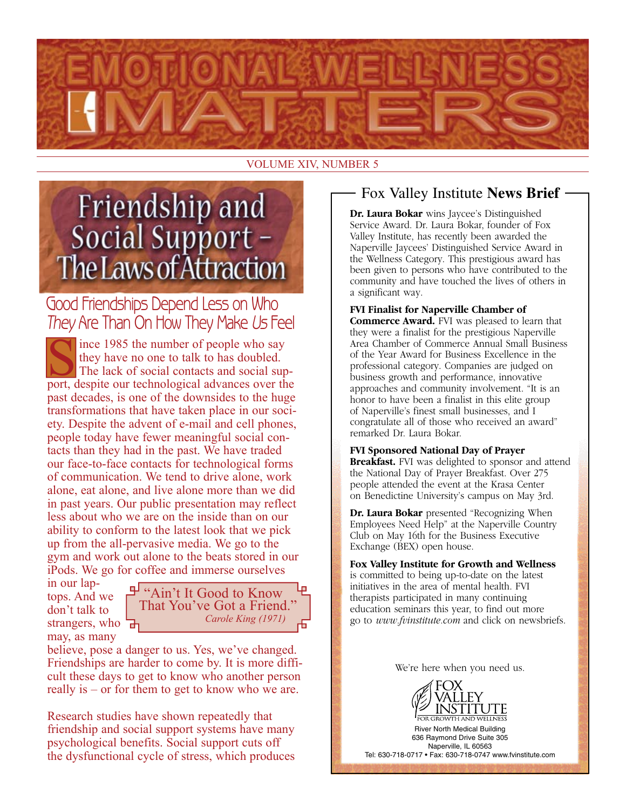

#### VOLUME XIV, NUMBER 5

# Friendship and Social Support -The Laws of Attraction

# Good Friendships Depend Less on Who They Are Than On How They Make Us Feel

ince 1985 the number of people who say they have no one to talk to has doubled. The lack of social contacts and social support, despite our technological advances over the past decades, is one of the downsides to the huge transformations that have taken place in our society. Despite the advent of e-mail and cell phones, people today have fewer meaningful social contacts than they had in the past. We have traded our face-to-face contacts for technological forms of communication. We tend to drive alone, work alone, eat alone, and live alone more than we did in past years. Our public presentation may reflect less about who we are on the inside than on our ability to conform to the latest look that we pick up from the all-pervasive media. We go to the gym and work out alone to the beats stored in our iPods. We go for coffee and immerse ourselves

in our laptops. And we don't talk to strangers, who may, as many



believe, pose a danger to us. Yes, we've changed. Friendships are harder to come by. It is more difficult these days to get to know who another person really is – or for them to get to know who we are.

Research studies have shown repeatedly that friendship and social support systems have many psychological benefits. Social support cuts off the dysfunctional cycle of stress, which produces

### Fox Valley Institute **News Brief**

**Dr. Laura Bokar** wins Jaycee's Distinguished Service Award. Dr. Laura Bokar, founder of Fox Valley Institute, has recently been awarded the Naperville Jaycees' Distinguished Service Award in the Wellness Category. This prestigious award has been given to persons who have contributed to the community and have touched the lives of others in a significant way.

**FVI Finalist for Naperville Chamber of Commerce Award.** FVI was pleased to learn that they were a finalist for the prestigious Naperville Area Chamber of Commerce Annual Small Business of the Year Award for Business Excellence in the professional category. Companies are judged on business growth and performance, innovative approaches and community involvement. "It is an honor to have been a finalist in this elite group of Naperville's finest small businesses, and I congratulate all of those who received an award" remarked Dr. Laura Bokar.

#### **FVI Sponsored National Day of Prayer**

**Breakfast.** FVI was delighted to sponsor and attend the National Day of Prayer Breakfast. Over 275 people attended the event at the Krasa Center on Benedictine University's campus on May 3rd.

**Dr. Laura Bokar** presented "Recognizing When Employees Need Help" at the Naperville Country Club on May 16th for the Business Executive Exchange (BEX) open house.

**Fox Valley Institute for Growth and Wellness** is committed to being up-to-date on the latest initiatives in the area of mental health. FVI therapists participated in many continuing education seminars this year, to find out more go to *www.fvinstitute.com* and click on newsbriefs.

We're here when you need us.



River North Medical Building 636 Raymond Drive Suite 305 Naperville, IL 60563 Tel: 630-718-0717 • Fax: 630-718-0747 www.fvinstitute.com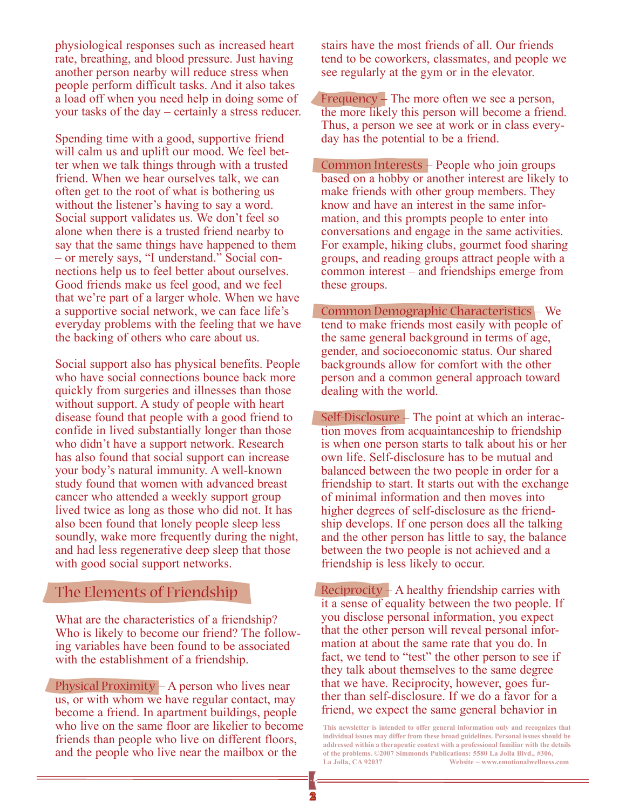physiological responses such as increased heart rate, breathing, and blood pressure. Just having another person nearby will reduce stress when people perform difficult tasks. And it also takes a load off when you need help in doing some of your tasks of the day – certainly a stress reducer.

Spending time with a good, supportive friend will calm us and uplift our mood. We feel better when we talk things through with a trusted friend. When we hear ourselves talk, we can often get to the root of what is bothering us without the listener's having to say a word. Social support validates us. We don't feel so alone when there is a trusted friend nearby to say that the same things have happened to them – or merely says, "I understand." Social connections help us to feel better about ourselves. Good friends make us feel good, and we feel that we're part of a larger whole. When we have a supportive social network, we can face life's everyday problems with the feeling that we have the backing of others who care about us.

Social support also has physical benefits. People who have social connections bounce back more quickly from surgeries and illnesses than those without support. A study of people with heart disease found that people with a good friend to confide in lived substantially longer than those who didn't have a support network. Research has also found that social support can increase your body's natural immunity. A well-known study found that women with advanced breast cancer who attended a weekly support group lived twice as long as those who did not. It has also been found that lonely people sleep less soundly, wake more frequently during the night, and had less regenerative deep sleep that those with good social support networks.

#### The Elements of Friendship

What are the characteristics of a friendship? Who is likely to become our friend? The following variables have been found to be associated with the establishment of a friendship.

Physical Proximity – A person who lives near us, or with whom we have regular contact, may become a friend. In apartment buildings, people who live on the same floor are likelier to become friends than people who live on different floors, and the people who live near the mailbox or the

stairs have the most friends of all. Our friends tend to be coworkers, classmates, and people we see regularly at the gym or in the elevator.

Frequency  $+$  The more often we see a person, the more likely this person will become a friend. Thus, a person we see at work or in class everyday has the potential to be a friend.

Common Interests – People who join groups based on a hobby or another interest are likely to make friends with other group members. They know and have an interest in the same information, and this prompts people to enter into conversations and engage in the same activities. For example, hiking clubs, gourmet food sharing groups, and reading groups attract people with a common interest – and friendships emerge from these groups.

Common Demographic Characteristics – We tend to make friends most easily with people of the same general background in terms of age, gender, and socioeconomic status. Our shared backgrounds allow for comfort with the other person and a common general approach toward dealing with the world.

 $Self-Disclosure - The point at which an interac$ tion moves from acquaintanceship to friendship is when one person starts to talk about his or her own life. Self-disclosure has to be mutual and balanced between the two people in order for a friendship to start. It starts out with the exchange of minimal information and then moves into higher degrees of self-disclosure as the friendship develops. If one person does all the talking and the other person has little to say, the balance between the two people is not achieved and a friendship is less likely to occur.

 $Reciprocity - A healthy firendship carries with$ it a sense of equality between the two people. If you disclose personal information, you expect that the other person will reveal personal information at about the same rate that you do. In fact, we tend to "test" the other person to see if they talk about themselves to the same degree that we have. Reciprocity, however, goes further than self-disclosure. If we do a favor for a friend, we expect the same general behavior in

**This newsletter is intended to offer general information only and recognizes that individual issues may differ from these broad guidelines. Personal issues should be addressed within a therapeutic context with a professional familiar with the details of the problems. ©2007 Simmonds Publications: 5580 La Jolla Blvd., #306, La Jolla, CA 92037 Website ~ www.emotionalwellness.com**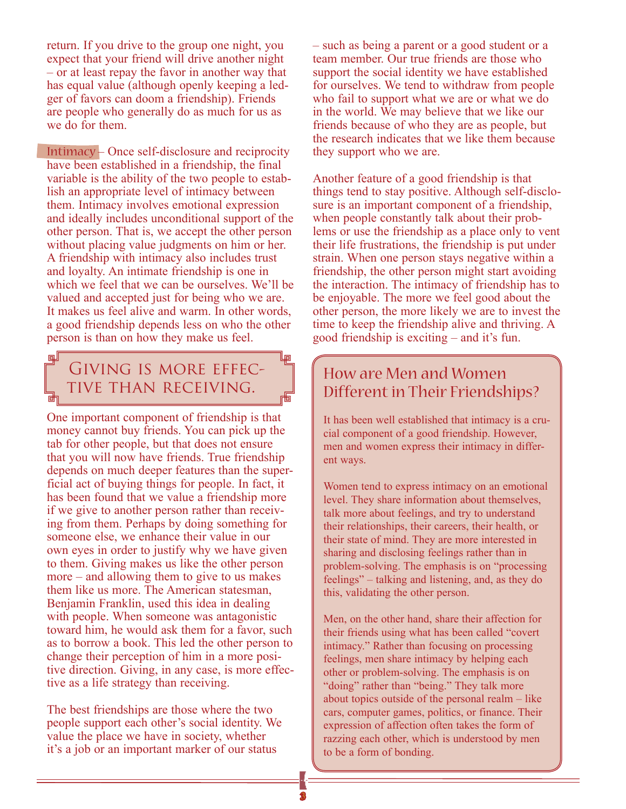return. If you drive to the group one night, you expect that your friend will drive another night – or at least repay the favor in another way that has equal value (although openly keeping a ledger of favors can doom a friendship). Friends are people who generally do as much for us as we do for them.

 $Intimaxy - Once self-disclosure and reciprocity$ have been established in a friendship, the final variable is the ability of the two people to establish an appropriate level of intimacy between them. Intimacy involves emotional expression and ideally includes unconditional support of the other person. That is, we accept the other person without placing value judgments on him or her. A friendship with intimacy also includes trust and loyalty. An intimate friendship is one in which we feel that we can be ourselves. We'll be valued and accepted just for being who we are. It makes us feel alive and warm. In other words, a good friendship depends less on who the other person is than on how they make us feel.

## 回 GIVING IS MORE EFFEC-TIVE THAN RECEIVING.

One important component of friendship is that money cannot buy friends. You can pick up the tab for other people, but that does not ensure that you will now have friends. True friendship depends on much deeper features than the superficial act of buying things for people. In fact, it has been found that we value a friendship more if we give to another person rather than receiving from them. Perhaps by doing something for someone else, we enhance their value in our own eyes in order to justify why we have given to them. Giving makes us like the other person more – and allowing them to give to us makes them like us more. The American statesman, Benjamin Franklin, used this idea in dealing with people. When someone was antagonistic toward him, he would ask them for a favor, such as to borrow a book. This led the other person to change their perception of him in a more positive direction. Giving, in any case, is more effective as a life strategy than receiving.

The best friendships are those where the two people support each other's social identity. We value the place we have in society, whether it's a job or an important marker of our status

– such as being a parent or a good student or a team member. Our true friends are those who support the social identity we have established for ourselves. We tend to withdraw from people who fail to support what we are or what we do in the world. We may believe that we like our friends because of who they are as people, but the research indicates that we like them because they support who we are.

Another feature of a good friendship is that things tend to stay positive. Although self-disclosure is an important component of a friendship, when people constantly talk about their problems or use the friendship as a place only to vent their life frustrations, the friendship is put under strain. When one person stays negative within a friendship, the other person might start avoiding the interaction. The intimacy of friendship has to be enjoyable. The more we feel good about the other person, the more likely we are to invest the time to keep the friendship alive and thriving. A good friendship is exciting – and it's fun.

## How are Men and Women Different in Their Friendships?

It has been well established that intimacy is a crucial component of a good friendship. However, men and women express their intimacy in different ways.

Women tend to express intimacy on an emotional level. They share information about themselves, talk more about feelings, and try to understand their relationships, their careers, their health, or their state of mind. They are more interested in sharing and disclosing feelings rather than in problem-solving. The emphasis is on "processing feelings" – talking and listening, and, as they do this, validating the other person.

Men, on the other hand, share their affection for their friends using what has been called "covert intimacy." Rather than focusing on processing feelings, men share intimacy by helping each other or problem-solving. The emphasis is on "doing" rather than "being." They talk more about topics outside of the personal realm – like cars, computer games, politics, or finance. Their expression of affection often takes the form of razzing each other, which is understood by men to be a form of bonding.

响